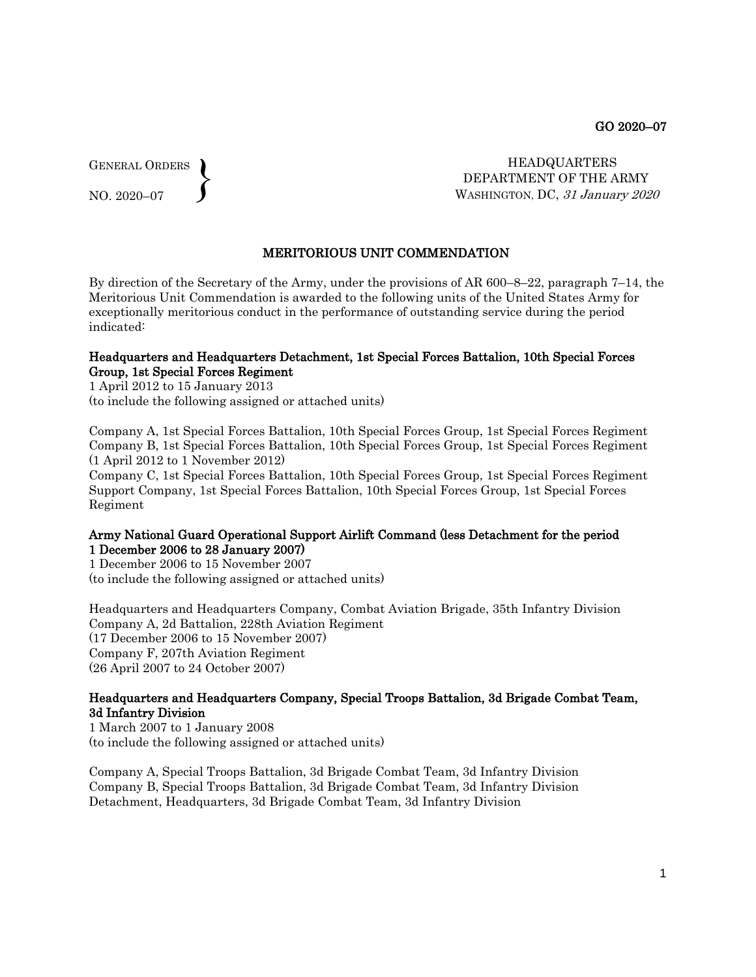GENERAL ORDERS  $\left\{ \right\}$ 

NO. 2020–07

 HEADQUARTERS DEPARTMENT OF THE ARMY WASHINGTON, DC, 31 January 2020

# MERITORIOUS UNIT COMMENDATION

By direction of the Secretary of the Army, under the provisions of AR 600–8–22, paragraph 7–14, the Meritorious Unit Commendation is awarded to the following units of the United States Army for exceptionally meritorious conduct in the performance of outstanding service during the period indicated:

#### Headquarters and Headquarters Detachment, 1st Special Forces Battalion, 10th Special Forces Group, 1st Special Forces Regiment

1 April 2012 to 15 January 2013 (to include the following assigned or attached units)

Company A, 1st Special Forces Battalion, 10th Special Forces Group, 1st Special Forces Regiment Company B, 1st Special Forces Battalion, 10th Special Forces Group, 1st Special Forces Regiment (1 April 2012 to 1 November 2012)

Company C, 1st Special Forces Battalion, 10th Special Forces Group, 1st Special Forces Regiment Support Company, 1st Special Forces Battalion, 10th Special Forces Group, 1st Special Forces Regiment

### Army National Guard Operational Support Airlift Command (less Detachment for the period 1 December 2006 to 28 January 2007)

1 December 2006 to 15 November 2007 (to include the following assigned or attached units)

Headquarters and Headquarters Company, Combat Aviation Brigade, 35th Infantry Division Company A, 2d Battalion, 228th Aviation Regiment (17 December 2006 to 15 November 2007) Company F, 207th Aviation Regiment (26 April 2007 to 24 October 2007)

# Headquarters and Headquarters Company, Special Troops Battalion, 3d Brigade Combat Team, 3d Infantry Division

1 March 2007 to 1 January 2008 (to include the following assigned or attached units)

Company A, Special Troops Battalion, 3d Brigade Combat Team, 3d Infantry Division Company B, Special Troops Battalion, 3d Brigade Combat Team, 3d Infantry Division Detachment, Headquarters, 3d Brigade Combat Team, 3d Infantry Division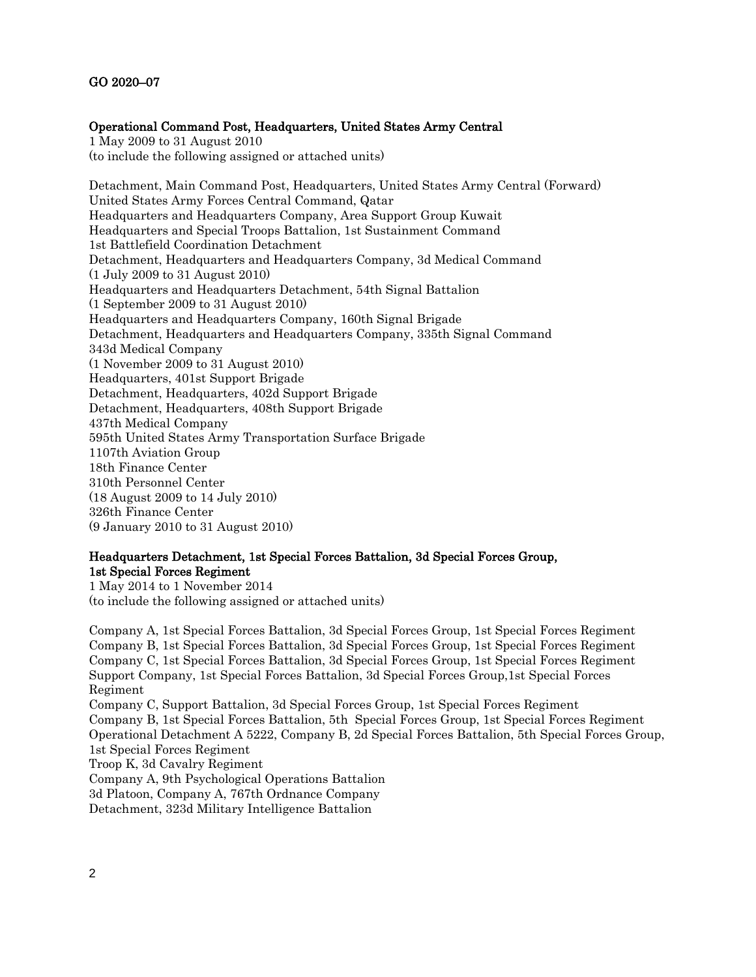# Operational Command Post, Headquarters, United States Army Central

1 May 2009 to 31 August 2010 (to include the following assigned or attached units)

Detachment, Main Command Post, Headquarters, United States Army Central (Forward) United States Army Forces Central Command, Qatar Headquarters and Headquarters Company, Area Support Group Kuwait Headquarters and Special Troops Battalion, 1st Sustainment Command 1st Battlefield Coordination Detachment Detachment, Headquarters and Headquarters Company, 3d Medical Command (1 July 2009 to 31 August 2010) Headquarters and Headquarters Detachment, 54th Signal Battalion (1 September 2009 to 31 August 2010) Headquarters and Headquarters Company, 160th Signal Brigade Detachment, Headquarters and Headquarters Company, 335th Signal Command 343d Medical Company (1 November 2009 to 31 August 2010) Headquarters, 401st Support Brigade Detachment, Headquarters, 402d Support Brigade Detachment, Headquarters, 408th Support Brigade 437th Medical Company 595th United States Army Transportation Surface Brigade 1107th Aviation Group 18th Finance Center 310th Personnel Center (18 August 2009 to 14 July 2010) 326th Finance Center (9 January 2010 to 31 August 2010)

# Headquarters Detachment, 1st Special Forces Battalion, 3d Special Forces Group, 1st Special Forces Regiment

1 May 2014 to 1 November 2014 (to include the following assigned or attached units)

Company A, 1st Special Forces Battalion, 3d Special Forces Group, 1st Special Forces Regiment Company B, 1st Special Forces Battalion, 3d Special Forces Group, 1st Special Forces Regiment Company C, 1st Special Forces Battalion, 3d Special Forces Group, 1st Special Forces Regiment Support Company, 1st Special Forces Battalion, 3d Special Forces Group,1st Special Forces Regiment Company C, Support Battalion, 3d Special Forces Group, 1st Special Forces Regiment

Company B, 1st Special Forces Battalion, 5th Special Forces Group, 1st Special Forces Regiment Operational Detachment A 5222, Company B, 2d Special Forces Battalion, 5th Special Forces Group, 1st Special Forces Regiment

Troop K, 3d Cavalry Regiment

Company A, 9th Psychological Operations Battalion

3d Platoon, Company A, 767th Ordnance Company

Detachment, 323d Military Intelligence Battalion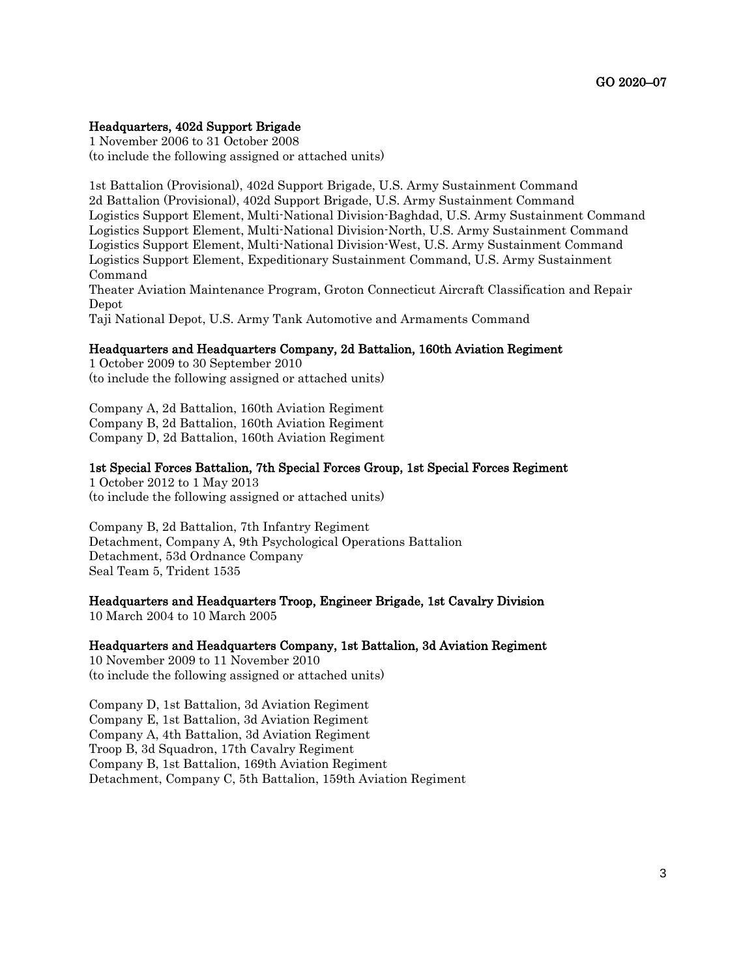### Headquarters, 402d Support Brigade

1 November 2006 to 31 October 2008 (to include the following assigned or attached units)

1st Battalion (Provisional), 402d Support Brigade, U.S. Army Sustainment Command 2d Battalion (Provisional), 402d Support Brigade, U.S. Army Sustainment Command Logistics Support Element, Multi-National Division-Baghdad, U.S. Army Sustainment Command Logistics Support Element, Multi-National Division-North, U.S. Army Sustainment Command Logistics Support Element, Multi-National Division-West, U.S. Army Sustainment Command Logistics Support Element, Expeditionary Sustainment Command, U.S. Army Sustainment Command Theater Aviation Maintenance Program, Groton Connecticut Aircraft Classification and Repair Depot Taji National Depot, U.S. Army Tank Automotive and Armaments Command

#### Headquarters and Headquarters Company, 2d Battalion, 160th Aviation Regiment

1 October 2009 to 30 September 2010 (to include the following assigned or attached units)

Company A, 2d Battalion, 160th Aviation Regiment Company B, 2d Battalion, 160th Aviation Regiment Company D, 2d Battalion, 160th Aviation Regiment

# 1st Special Forces Battalion, 7th Special Forces Group, 1st Special Forces Regiment

1 October 2012 to 1 May 2013 (to include the following assigned or attached units)

Company B, 2d Battalion, 7th Infantry Regiment Detachment, Company A, 9th Psychological Operations Battalion Detachment, 53d Ordnance Company Seal Team 5, Trident 1535

### Headquarters and Headquarters Troop, Engineer Brigade, 1st Cavalry Division

10 March 2004 to 10 March 2005

## Headquarters and Headquarters Company, 1st Battalion, 3d Aviation Regiment

10 November 2009 to 11 November 2010 (to include the following assigned or attached units)

Company D, 1st Battalion, 3d Aviation Regiment Company E, 1st Battalion, 3d Aviation Regiment Company A, 4th Battalion, 3d Aviation Regiment Troop B, 3d Squadron, 17th Cavalry Regiment Company B, 1st Battalion, 169th Aviation Regiment Detachment, Company C, 5th Battalion, 159th Aviation Regiment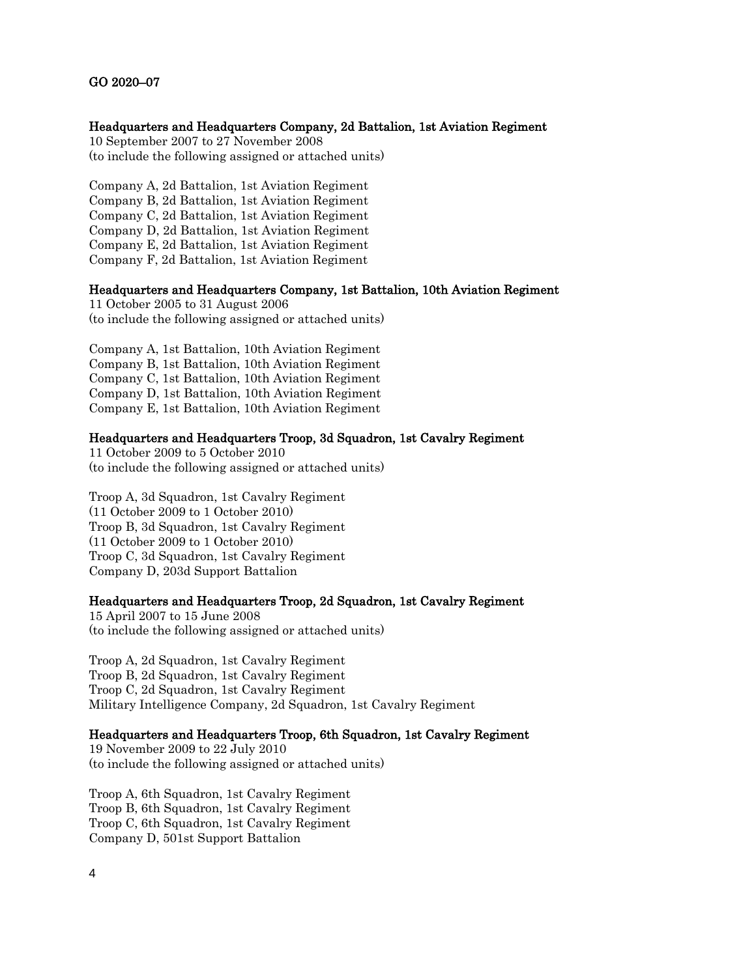#### Headquarters and Headquarters Company, 2d Battalion, 1st Aviation Regiment

10 September 2007 to 27 November 2008 (to include the following assigned or attached units)

Company A, 2d Battalion, 1st Aviation Regiment Company B, 2d Battalion, 1st Aviation Regiment Company C, 2d Battalion, 1st Aviation Regiment Company D, 2d Battalion, 1st Aviation Regiment Company E, 2d Battalion, 1st Aviation Regiment Company F, 2d Battalion, 1st Aviation Regiment

### Headquarters and Headquarters Company, 1st Battalion, 10th Aviation Regiment

11 October 2005 to 31 August 2006 (to include the following assigned or attached units)

Company A, 1st Battalion, 10th Aviation Regiment Company B, 1st Battalion, 10th Aviation Regiment Company C, 1st Battalion, 10th Aviation Regiment Company D, 1st Battalion, 10th Aviation Regiment Company E, 1st Battalion, 10th Aviation Regiment

### Headquarters and Headquarters Troop, 3d Squadron, 1st Cavalry Regiment

11 October 2009 to 5 October 2010 (to include the following assigned or attached units)

Troop A, 3d Squadron, 1st Cavalry Regiment (11 October 2009 to 1 October 2010) Troop B, 3d Squadron, 1st Cavalry Regiment (11 October 2009 to 1 October 2010) Troop C, 3d Squadron, 1st Cavalry Regiment Company D, 203d Support Battalion

#### Headquarters and Headquarters Troop, 2d Squadron, 1st Cavalry Regiment

15 April 2007 to 15 June 2008 (to include the following assigned or attached units)

Troop A, 2d Squadron, 1st Cavalry Regiment Troop B, 2d Squadron, 1st Cavalry Regiment Troop C, 2d Squadron, 1st Cavalry Regiment Military Intelligence Company, 2d Squadron, 1st Cavalry Regiment

# Headquarters and Headquarters Troop, 6th Squadron, 1st Cavalry Regiment

19 November 2009 to 22 July 2010 (to include the following assigned or attached units)

Troop A, 6th Squadron, 1st Cavalry Regiment Troop B, 6th Squadron, 1st Cavalry Regiment Troop C, 6th Squadron, 1st Cavalry Regiment Company D, 501st Support Battalion